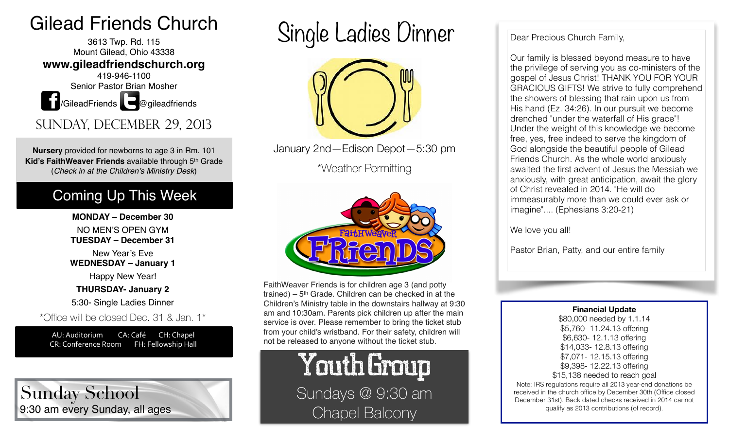## Gilead Friends Church

3613 Twp. Rd. 115 Mount Gilead, Ohio 43338 **www.gileadfriendschurch.org** 419-946-1100 Senior Pastor Brian Mosher **1**/GileadFriends **@**gileadfriends

Sunday, December 29, 2013

**Nursery** provided for newborns to age 3 in Rm. 101 **Kid's FaithWeaver Friends** available through 5th Grade (*Check in at the Children's Ministry Desk*)

## Coming Up This Week

**MONDAY – December 30**  NO MEN'S OPEN GYM

**TUESDAY – December 31** 

New Year's Eve **WEDNESDAY – January 1** 

Happy New Year!

**THURSDAY- January 2**

5:30- Single Ladies Dinner

\*Office will be closed Dec. 31 & Jan. 1\*

AU: Auditorium CA: Café CH: Chapel CR: Conference Room FH: Fellowship Hall

9:30 am every Sunday, all ages Sunday School

Single Ladies Dinner



January 2nd—Edison Depot—5:30 pm

\*Weather Permitting



FaithWeaver Friends is for children age 3 (and potty trained) –  $5<sup>th</sup>$  Grade. Children can be checked in at the Children's Ministry table in the downstairs hallway at 9:30 am and 10:30am. Parents pick children up after the main service is over. Please remember to bring the ticket stub from your child's wristband. For their safety, children will not be released to anyone without the ticket stub.

> Youth Group Sundays @ 9:30 am Chapel Balcony

## Dear Precious Church Family,

Our family is blessed beyond measure to have the privilege of serving you as co-ministers of the gospel of Jesus Christ! THANK YOU FOR YOUR GRACIOUS GIFTS! We strive to fully comprehend the showers of blessing that rain upon us from His hand (Ez. 34:26). In our pursuit we become drenched "under the waterfall of His grace"! Under the weight of this knowledge we become free, yes, free indeed to serve the kingdom of God alongside the beautiful people of Gilead Friends Church. As the whole world anxiously awaited the first advent of Jesus the Messiah we anxiously, with great anticipation, await the glory of Christ revealed in 2014. "He will do immeasurably more than we could ever ask or imagine".... (Ephesians 3:20-21)

We love you all!

Pastor Brian, Patty, and our entire family

**Financial Update** 

\$80,000 needed by 1.1.14 \$5,760- 11.24.13 offering \$6,630- 12.1.13 offering \$14,033- 12.8.13 offering \$7,071- 12.15.13 offering \$9,398- 12.22.13 offering \$15,138 needed to reach goal Note: IRS regulations require all 2013 year-end donations be received in the church office by December 30th (Office closed December 31st). Back dated checks received in 2014 cannot qualify as 2013 contributions (of record).